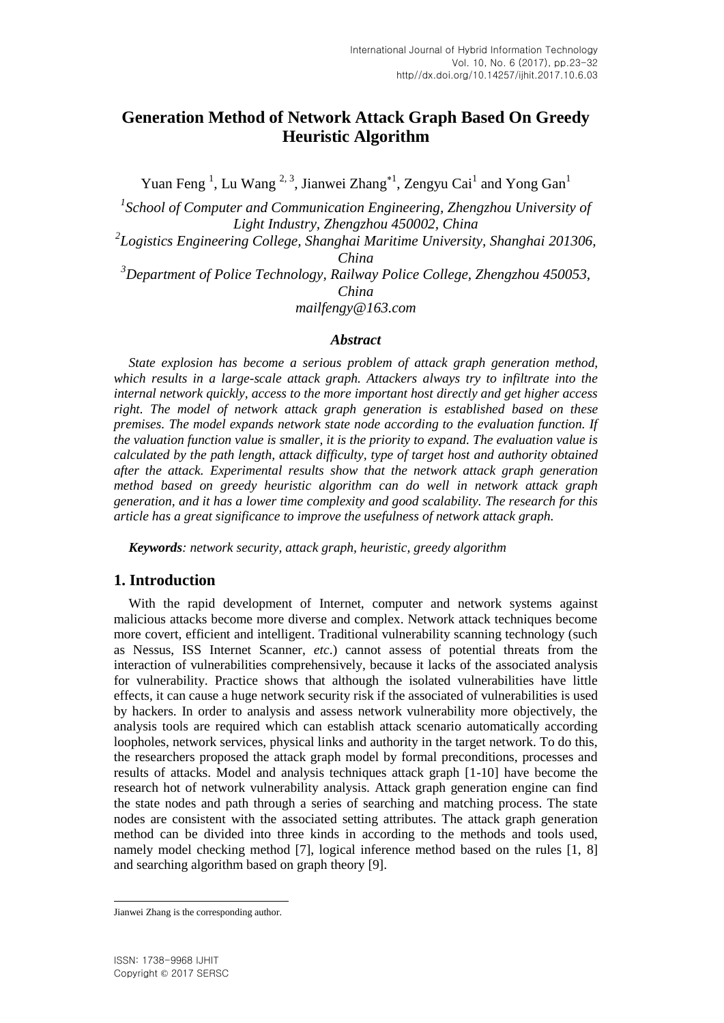# **Generation Method of Network Attack Graph Based On Greedy Heuristic Algorithm**

Yuan Feng<sup>1</sup>, Lu Wang<sup>2,3</sup>, Jianwei Zhang<sup>\*1</sup>, Zengyu Cai<sup>1</sup> and Yong Gan<sup>1</sup>

<sup>1</sup> School of Computer and Communication Engineering, Zhengzhou University of *Light Industry, Zhengzhou 450002, China*

*2 Logistics Engineering College, Shanghai Maritime University, Shanghai 201306, China* 

*<sup>3</sup>Department of Police Technology, Railway Police College, Zhengzhou 450053, China*

*mailfengy@163.com*

### *Abstract*

*State explosion has become a serious problem of attack graph generation method, which results in a large-scale attack graph. Attackers always try to infiltrate into the internal network quickly, access to the more important host directly and get higher access right. The model of network attack graph generation is established based on these premises. The model expands network state node according to the evaluation function. If the valuation function value is smaller, it is the priority to expand. The evaluation value is calculated by the path length, attack difficulty, type of target host and authority obtained after the attack. Experimental results show that the network attack graph generation method based on greedy heuristic algorithm can do well in network attack graph generation, and it has a lower time complexity and good scalability. The research for this article has a great significance to improve the usefulness of network attack graph.*

*Keywords: network security, attack graph, heuristic, greedy algorithm*

### **1. Introduction**

With the rapid development of Internet, computer and network systems against malicious attacks become more diverse and complex. Network attack techniques become more covert, efficient and intelligent. Traditional vulnerability scanning technology (such as Nessus, ISS Internet Scanner, *etc*.) cannot assess of potential threats from the interaction of vulnerabilities comprehensively, because it lacks of the associated analysis for vulnerability. Practice shows that although the isolated vulnerabilities have little effects, it can cause a huge network security risk if the associated of vulnerabilities is used by hackers. In order to analysis and assess network vulnerability more objectively, the analysis tools are required which can establish attack scenario automatically according loopholes, network services, physical links and authority in the target network. To do this, the researchers proposed the attack graph model by formal preconditions, processes and results of attacks. Model and analysis techniques attack graph [1-10] have become the research hot of network vulnerability analysis. Attack graph generation engine can find the state nodes and path through a series of searching and matching process. The state nodes are consistent with the associated setting attributes. The attack graph generation method can be divided into three kinds in according to the methods and tools used, namely model checking method [7], logical inference method based on the rules [1, 8] and searching algorithm based on graph theory [9].

l Jianwei Zhang is the corresponding author.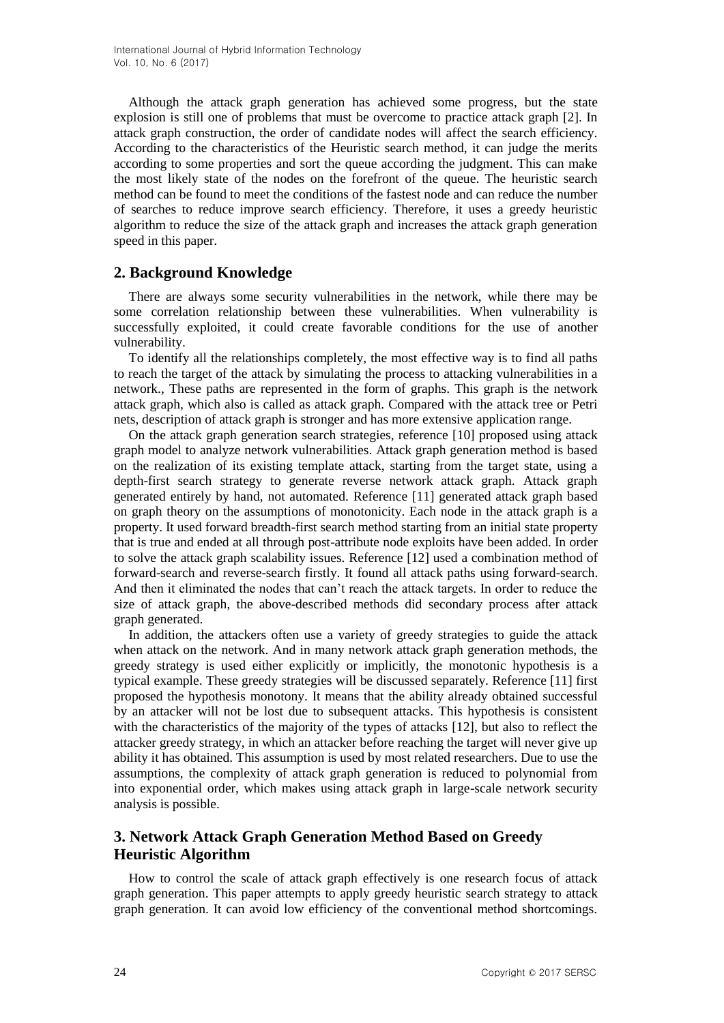Although the attack graph generation has achieved some progress, but the state explosion is still one of problems that must be overcome to practice attack graph [2]. In attack graph construction, the order of candidate nodes will affect the search efficiency. According to the characteristics of the Heuristic search method, it can judge the merits according to some properties and sort the queue according the judgment. This can make the most likely state of the nodes on the forefront of the queue. The heuristic search method can be found to meet the conditions of the fastest node and can reduce the number of searches to reduce improve search efficiency. Therefore, it uses a greedy heuristic algorithm to reduce the size of the attack graph and increases the attack graph generation speed in this paper.

# **2. Background Knowledge**

There are always some security vulnerabilities in the network, while there may be some correlation relationship between these vulnerabilities. When vulnerability is successfully exploited, it could create favorable conditions for the use of another vulnerability.

To identify all the relationships completely, the most effective way is to find all paths to reach the target of the attack by simulating the process to attacking vulnerabilities in a network., These paths are represented in the form of graphs. This graph is the network attack graph, which also is called as attack graph. Compared with the attack tree or Petri nets, description of attack graph is stronger and has more extensive application range.

On the attack graph generation search strategies, reference [10] proposed using attack graph model to analyze network vulnerabilities. Attack graph generation method is based on the realization of its existing template attack, starting from the target state, using a depth-first search strategy to generate reverse network attack graph. Attack graph generated entirely by hand, not automated. Reference [11] generated attack graph based on graph theory on the assumptions of monotonicity. Each node in the attack graph is a property. It used forward breadth-first search method starting from an initial state property that is true and ended at all through post-attribute node exploits have been added. In order to solve the attack graph scalability issues. Reference [12] used a combination method of forward-search and reverse-search firstly. It found all attack paths using forward-search. And then it eliminated the nodes that can't reach the attack targets. In order to reduce the size of attack graph, the above-described methods did secondary process after attack graph generated.

In addition, the attackers often use a variety of greedy strategies to guide the attack when attack on the network. And in many network attack graph generation methods, the greedy strategy is used either explicitly or implicitly, the monotonic hypothesis is a typical example. These greedy strategies will be discussed separately. Reference [11] first proposed the hypothesis monotony. It means that the ability already obtained successful by an attacker will not be lost due to subsequent attacks. This hypothesis is consistent with the characteristics of the majority of the types of attacks [12], but also to reflect the attacker greedy strategy, in which an attacker before reaching the target will never give up ability it has obtained. This assumption is used by most related researchers. Due to use the assumptions, the complexity of attack graph generation is reduced to polynomial from into exponential order, which makes using attack graph in large-scale network security analysis is possible.

# **3. Network Attack Graph Generation Method Based on Greedy Heuristic Algorithm**

How to control the scale of attack graph effectively is one research focus of attack graph generation. This paper attempts to apply greedy heuristic search strategy to attack graph generation. It can avoid low efficiency of the conventional method shortcomings.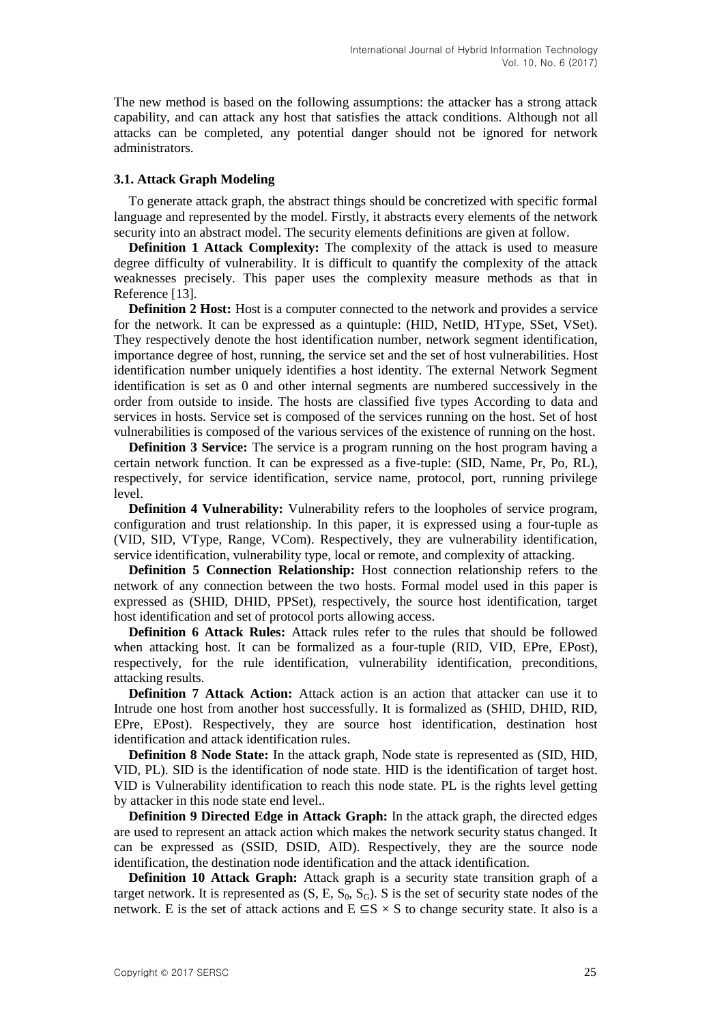The new method is based on the following assumptions: the attacker has a strong attack capability, and can attack any host that satisfies the attack conditions. Although not all attacks can be completed, any potential danger should not be ignored for network administrators.

#### **3.1. Attack Graph Modeling**

To generate attack graph, the abstract things should be concretized with specific formal language and represented by the model. Firstly, it abstracts every elements of the network security into an abstract model. The security elements definitions are given at follow.

**Definition 1 Attack Complexity:** The complexity of the attack is used to measure degree difficulty of vulnerability. It is difficult to quantify the complexity of the attack weaknesses precisely. This paper uses the complexity measure methods as that in Reference [13].

**Definition 2 Host:** Host is a computer connected to the network and provides a service for the network. It can be expressed as a quintuple: (HID, NetID, HType, SSet, VSet). They respectively denote the host identification number, network segment identification, importance degree of host, running, the service set and the set of host vulnerabilities. Host identification number uniquely identifies a host identity. The external Network Segment identification is set as 0 and other internal segments are numbered successively in the order from outside to inside. The hosts are classified five types According to data and services in hosts. Service set is composed of the services running on the host. Set of host vulnerabilities is composed of the various services of the existence of running on the host.

**Definition 3 Service:** The service is a program running on the host program having a certain network function. It can be expressed as a five-tuple: (SID, Name, Pr, Po, RL), respectively, for service identification, service name, protocol, port, running privilege level.

**Definition 4 Vulnerability:** Vulnerability refers to the loopholes of service program, configuration and trust relationship. In this paper, it is expressed using a four-tuple as (VID, SID, VType, Range, VCom). Respectively, they are vulnerability identification, service identification, vulnerability type, local or remote, and complexity of attacking.

**Definition 5 Connection Relationship:** Host connection relationship refers to the network of any connection between the two hosts. Formal model used in this paper is expressed as (SHID, DHID, PPSet), respectively, the source host identification, target host identification and set of protocol ports allowing access.

**Definition 6 Attack Rules:** Attack rules refer to the rules that should be followed when attacking host. It can be formalized as a four-tuple (RID, VID, EPre, EPost), respectively, for the rule identification, vulnerability identification, preconditions, attacking results.

**Definition 7 Attack Action:** Attack action is an action that attacker can use it to Intrude one host from another host successfully. It is formalized as (SHID, DHID, RID, EPre, EPost). Respectively, they are source host identification, destination host identification and attack identification rules.

**Definition 8 Node State:** In the attack graph, Node state is represented as (SID, HID, VID, PL). SID is the identification of node state. HID is the identification of target host. VID is Vulnerability identification to reach this node state. PL is the rights level getting by attacker in this node state end level..

**Definition 9 Directed Edge in Attack Graph:** In the attack graph, the directed edges are used to represent an attack action which makes the network security status changed. It can be expressed as (SSID, DSID, AID). Respectively, they are the source node identification, the destination node identification and the attack identification.

**Definition 10 Attack Graph:** Attack graph is a security state transition graph of a target network. It is represented as  $(S, E, S_0, S_G)$ . S is the set of security state nodes of the network. E is the set of attack actions and  $E \subseteq S \times S$  to change security state. It also is a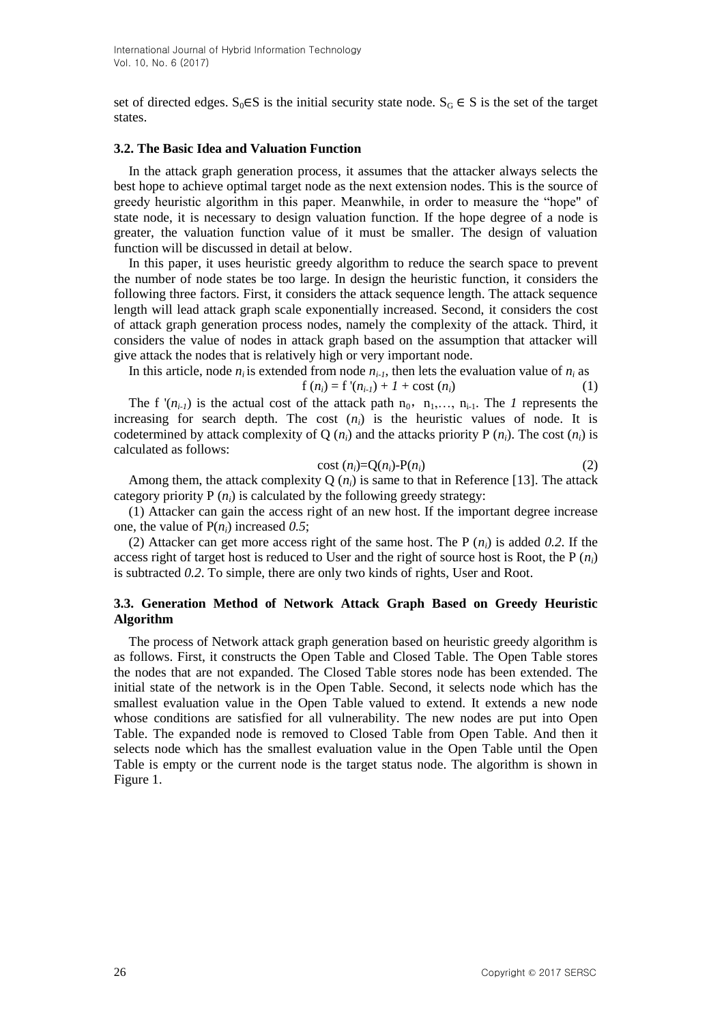set of directed edges.  $S_0 \in S$  is the initial security state node.  $S_G \in S$  is the set of the target states.

#### **3.2. The Basic Idea and Valuation Function**

In the attack graph generation process, it assumes that the attacker always selects the best hope to achieve optimal target node as the next extension nodes. This is the source of greedy heuristic algorithm in this paper. Meanwhile, in order to measure the "hope" of state node, it is necessary to design valuation function. If the hope degree of a node is greater, the valuation function value of it must be smaller. The design of valuation function will be discussed in detail at below.

In this paper, it uses heuristic greedy algorithm to reduce the search space to prevent the number of node states be too large. In design the heuristic function, it considers the following three factors. First, it considers the attack sequence length. The attack sequence length will lead attack graph scale exponentially increased. Second, it considers the cost of attack graph generation process nodes, namely the complexity of the attack. Third, it considers the value of nodes in attack graph based on the assumption that attacker will give attack the nodes that is relatively high or very important node.

In this article, node  $n_i$  is extended from node  $n_{i-1}$ , then lets the evaluation value of  $n_i$  as

$$
f(n_i) = f'(n_{i-1}) + 1 + \text{cost}(n_i)
$$
 (1)

The f ' $(n_{i-1})$  is the actual cost of the attack path  $n_0$ ,  $n_1,...,n_{i-1}$ . The *1* represents the increasing for search depth. The cost  $(n_i)$  is the heuristic values of node. It is codetermined by attack complexity of Q  $(n_i)$  and the attacks priority P  $(n_i)$ . The cost  $(n_i)$  is calculated as follows:

$$
cost (ni)=Q(ni)-P(ni)
$$
\n(2)

Among them, the attack complexity Q  $(n_i)$  is same to that in Reference [13]. The attack category priority  $P(n_i)$  is calculated by the following greedy strategy:

(1) Attacker can gain the access right of an new host. If the important degree increase one, the value of P(*ni*) increased *0.5*;

(2) Attacker can get more access right of the same host. The P (*ni*) is added *0.2*. If the access right of target host is reduced to User and the right of source host is Root, the P  $(n_i)$ is subtracted *0.2*. To simple, there are only two kinds of rights, User and Root.

### **3.3. Generation Method of Network Attack Graph Based on Greedy Heuristic Algorithm**

The process of Network attack graph generation based on heuristic greedy algorithm is as follows. First, it constructs the Open Table and Closed Table. The Open Table stores the nodes that are not expanded. The Closed Table stores node has been extended. The initial state of the network is in the Open Table. Second, it selects node which has the smallest evaluation value in the Open Table valued to extend. It extends a new node whose conditions are satisfied for all vulnerability. The new nodes are put into Open Table. The expanded node is removed to Closed Table from Open Table. And then it selects node which has the smallest evaluation value in the Open Table until the Open Table is empty or the current node is the target status node. The algorithm is shown in Figure 1.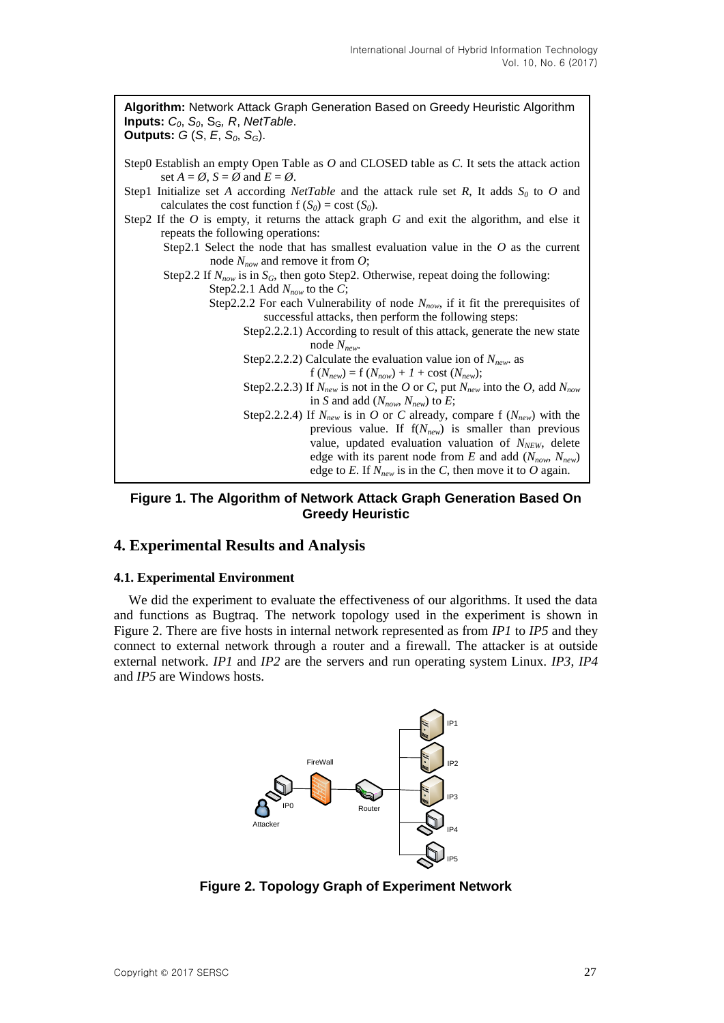

**Figure 1. The Algorithm of Network Attack Graph Generation Based On Greedy Heuristic**

### **4. Experimental Results and Analysis**

### **4.1. Experimental Environment**

We did the experiment to evaluate the effectiveness of our algorithms. It used the data and functions as Bugtraq. The network topology used in the experiment is shown in Figure 2. There are five hosts in internal network represented as from *IP1* to *IP5* and they connect to external network through a router and a firewall. The attacker is at outside external network. *IP1* and *IP2* are the servers and run operating system Linux. *IP3*, *IP4* and *IP5* are Windows hosts.



**Figure 2. Topology Graph of Experiment Network**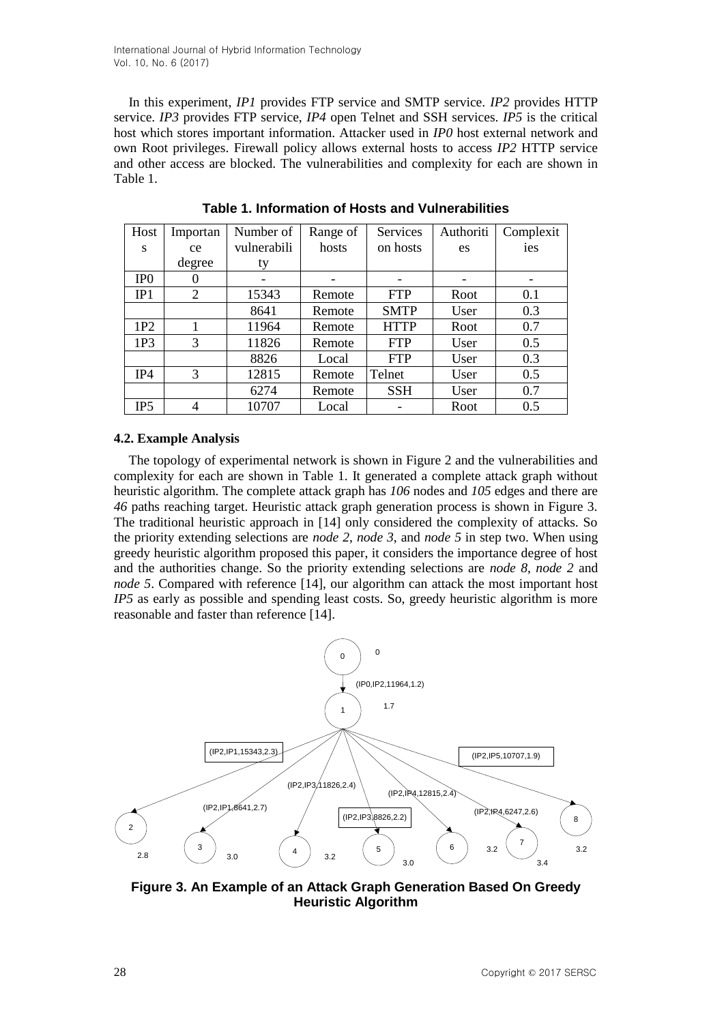In this experiment, *IP1* provides FTP service and SMTP service. *IP2* provides HTTP service. *IP3* provides FTP service, *IP4* open Telnet and SSH services. *IP5* is the critical host which stores important information. Attacker used in *IP0* host external network and own Root privileges. Firewall policy allows external hosts to access *IP2* HTTP service and other access are blocked. The vulnerabilities and complexity for each are shown in Table 1.

| Host            | Importan       | Number of   | Range of | Services    | Authoriti | Complexit |
|-----------------|----------------|-------------|----------|-------------|-----------|-----------|
| S               | ce             | vulnerabili | hosts    | on hosts    | es        | ies       |
|                 | degree         | ty          |          |             |           |           |
| IP <sub>0</sub> | O              |             |          |             |           |           |
| IP1             | $\overline{2}$ | 15343       | Remote   | <b>FTP</b>  | Root      | 0.1       |
|                 |                | 8641        | Remote   | <b>SMTP</b> | User      | 0.3       |
| 1P2             |                | 11964       | Remote   | <b>HTTP</b> | Root      | 0.7       |
| 1P <sub>3</sub> | 3              | 11826       | Remote   | <b>FTP</b>  | User      | 0.5       |
|                 |                | 8826        | Local    | <b>FTP</b>  | User      | 0.3       |
| IP4             | 3              | 12815       | Remote   | Telnet      | User      | 0.5       |
|                 |                | 6274        | Remote   | <b>SSH</b>  | User      | 0.7       |
| IP <sub>5</sub> | 4              | 10707       | Local    |             | Root      | 0.5       |

**Table 1. Information of Hosts and Vulnerabilities**

### **4.2. Example Analysis**

The topology of experimental network is shown in Figure 2 and the vulnerabilities and complexity for each are shown in Table 1. It generated a complete attack graph without heuristic algorithm. The complete attack graph has *106* nodes and *105* edges and there are *46* paths reaching target. Heuristic attack graph generation process is shown in Figure 3. The traditional heuristic approach in [14] only considered the complexity of attacks. So the priority extending selections are *node 2*, *node 3*, and *node 5* in step two. When using greedy heuristic algorithm proposed this paper, it considers the importance degree of host and the authorities change. So the priority extending selections are *node 8*, *node 2* and *node 5*. Compared with reference [14], our algorithm can attack the most important host *IP5* as early as possible and spending least costs. So, greedy heuristic algorithm is more reasonable and faster than reference [14].



**Figure 3. An Example of an Attack Graph Generation Based On Greedy Heuristic Algorithm**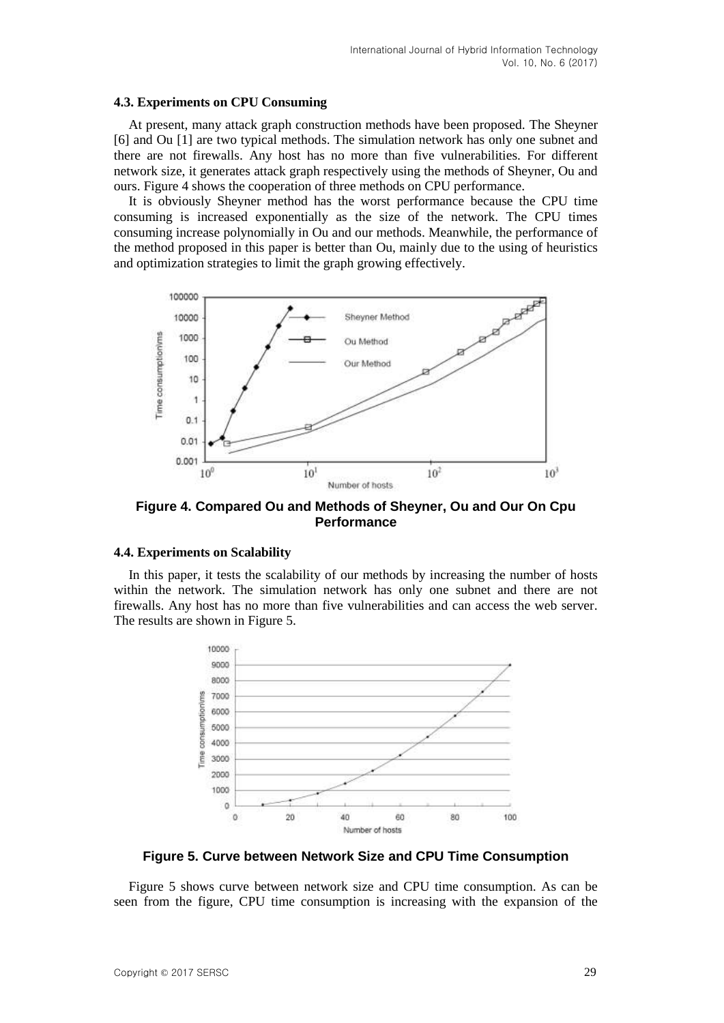#### **4.3. Experiments on CPU Consuming**

At present, many attack graph construction methods have been proposed. The Sheyner [6] and Ou [1] are two typical methods. The simulation network has only one subnet and there are not firewalls. Any host has no more than five vulnerabilities. For different network size, it generates attack graph respectively using the methods of Sheyner, Ou and ours. Figure 4 shows the cooperation of three methods on CPU performance.

It is obviously Sheyner method has the worst performance because the CPU time consuming is increased exponentially as the size of the network. The CPU times consuming increase polynomially in Ou and our methods. Meanwhile, the performance of the method proposed in this paper is better than Ou, mainly due to the using of heuristics and optimization strategies to limit the graph growing effectively.



**Figure 4. Compared Ou and Methods of Sheyner, Ou and Our On Cpu Performance**

#### **4.4. Experiments on Scalability**

In this paper, it tests the scalability of our methods by increasing the number of hosts within the network. The simulation network has only one subnet and there are not firewalls. Any host has no more than five vulnerabilities and can access the web server. The results are shown in Figure 5.



**Figure 5. Curve between Network Size and CPU Time Consumption**

Figure 5 shows curve between network size and CPU time consumption. As can be seen from the figure, CPU time consumption is increasing with the expansion of the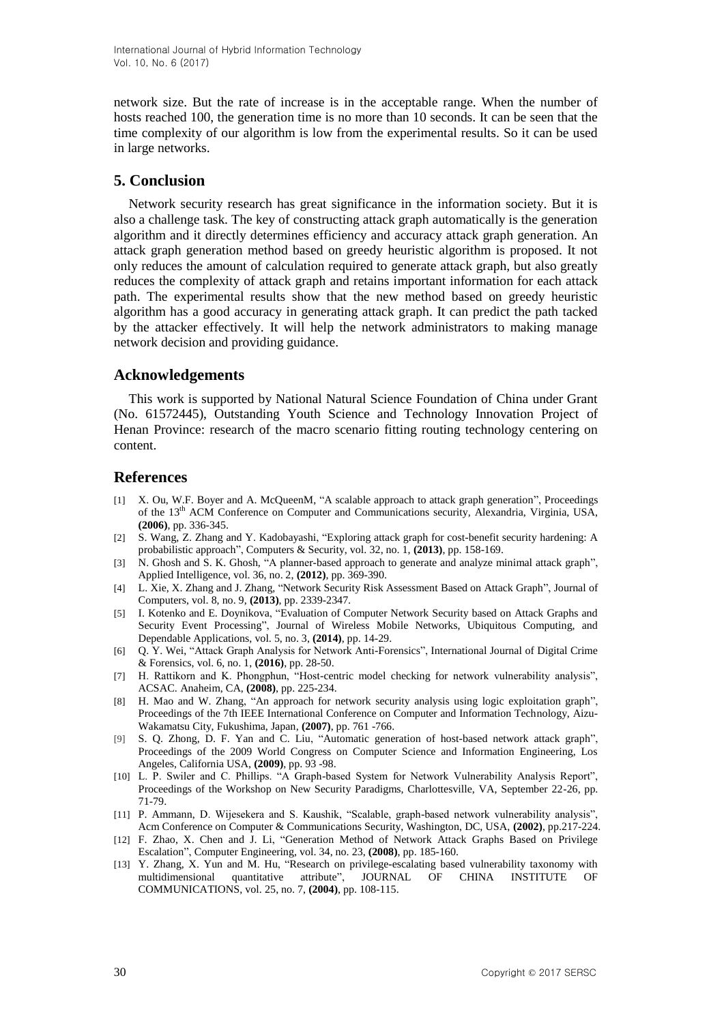network size. But the rate of increase is in the acceptable range. When the number of hosts reached 100, the generation time is no more than 10 seconds. It can be seen that the time complexity of our algorithm is low from the experimental results. So it can be used in large networks.

# **5. Conclusion**

Network security research has great significance in the information society. But it is also a challenge task. The key of constructing attack graph automatically is the generation algorithm and it directly determines efficiency and accuracy attack graph generation. An attack graph generation method based on greedy heuristic algorithm is proposed. It not only reduces the amount of calculation required to generate attack graph, but also greatly reduces the complexity of attack graph and retains important information for each attack path. The experimental results show that the new method based on greedy heuristic algorithm has a good accuracy in generating attack graph. It can predict the path tacked by the attacker effectively. It will help the network administrators to making manage network decision and providing guidance.

# **Acknowledgements**

This work is supported by National Natural Science Foundation of China under Grant (No. 61572445), Outstanding Youth Science and Technology Innovation Project of Henan Province: research of the macro scenario fitting routing technology centering on content.

# **References**

- [1] X. Ou, W.F. Boyer and A. McQueenM, "A scalable approach to attack graph generation", Proceedings of the 13<sup>th</sup> ACM Conference on Computer and Communications security, Alexandria, Virginia, USA, **(2006)**, pp. 336-345.
- [2] S. Wang, Z. Zhang and Y. Kadobayashi, "Exploring attack graph for cost-benefit security hardening: A probabilistic approach", Computers & Security, vol. 32, no. 1, **(2013)**, pp. 158-169.
- [3] N. Ghosh and S. K. Ghosh, "A planner-based approach to generate and analyze minimal attack graph", Applied Intelligence, vol. 36, no. 2, **(2012)**, pp. 369-390.
- [4] L. Xie, X. Zhang and J. Zhang, "Network Security Risk Assessment Based on Attack Graph", Journal of Computers, vol. 8, no. 9, **(2013)**, pp. 2339-2347.
- [5] I. Kotenko and E. Doynikova, "Evaluation of Computer Network Security based on Attack Graphs and Security Event Processing", Journal of Wireless Mobile Networks, Ubiquitous Computing, and Dependable Applications, vol. 5, no. 3, **(2014)**, pp. 14-29.
- [6] Q. Y. Wei, "Attack Graph Analysis for Network Anti-Forensics", International Journal of Digital Crime & Forensics, vol. 6, no. 1, **(2016)**, pp. 28-50.
- [7] H. Rattikorn and K. Phongphun, "Host-centric model checking for network vulnerability analysis", ACSAC. Anaheim, CA, **(2008)**, pp. 225-234.
- [8] H. Mao and W. Zhang, "An approach for network security analysis using logic exploitation graph", Proceedings of the 7th IEEE International Conference on Computer and Information Technology, Aizu-Wakamatsu City, Fukushima, Japan, **(2007)**, pp. 761 -766.
- [9] S. Q. Zhong, D. F. Yan and C. Liu, "Automatic generation of host-based network attack graph", Proceedings of the 2009 World Congress on Computer Science and Information Engineering, Los Angeles, California USA, **(2009)**, pp. 93 -98.
- [10] L. P. Swiler and C. Phillips. "A Graph-based System for Network Vulnerability Analysis Report", Proceedings of the Workshop on New Security Paradigms, Charlottesville, VA, September 22-26, pp. 71-79.
- [11] P. Ammann, D. Wijesekera and S. Kaushik, "Scalable, graph-based network vulnerability analysis", Acm Conference on Computer & Communications Security, Washington, DC, USA, **(2002)**, pp.217-224.
- [12] F. Zhao, X. Chen and J. Li, "Generation Method of Network Attack Graphs Based on Privilege Escalation", Computer Engineering, vol. 34, no. 23, **(2008)**, pp. 185-160.
- [13] Y. Zhang, X. Yun and M. Hu, "Research on privilege-escalating based vulnerability taxonomy with multidimensional quantitative attribute", JOURNAL OF CHINA INSTITUTE OF COMMUNICATIONS, vol. 25, no. 7, **(2004)**, pp. 108-115.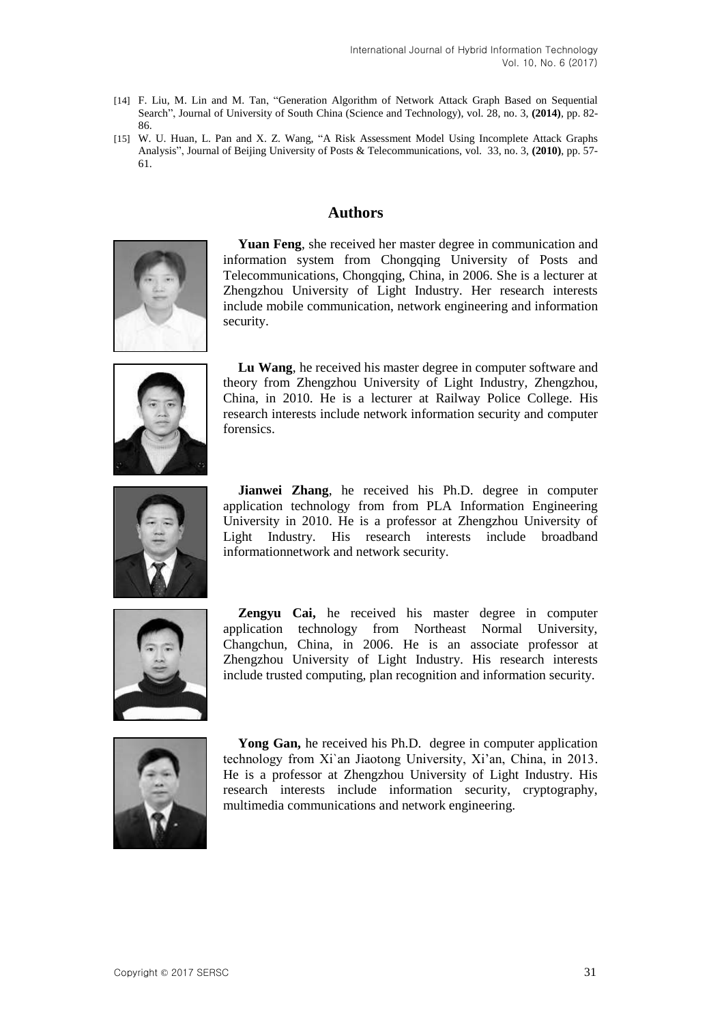- [14] F. Liu, M. Lin and M. Tan, "Generation Algorithm of Network Attack Graph Based on Sequential Search", Journal of University of South China (Science and Technology), vol. 28, no. 3, **(2014)**, pp. 82- 86.
- [15] W. U. Huan, L. Pan and X. Z. Wang, "A Risk Assessment Model Using Incomplete Attack Graphs Analysis", Journal of Beijing University of Posts & Telecommunications, vol. 33, no. 3, **(2010)**, pp. 57- 61.

## **Authors**



**Yuan Feng**, she received her master degree in communication and information system from Chongqing University of Posts and Telecommunications, Chongqing, China, in 2006. She is a lecturer at Zhengzhou University of Light Industry. Her research interests include mobile communication, network engineering and information security.



**Lu Wang**, he received his master degree in computer software and theory from Zhengzhou University of Light Industry, Zhengzhou, China, in 2010. He is a lecturer at Railway Police College. His research interests include network information security and computer forensics.



**Jianwei Zhang**, he received his Ph.D. degree in computer application technology from from PLA Information Engineering University in 2010. He is a professor at Zhengzhou University of Light Industry. His research interests include broadband informationnetwork and network security.



**Zengyu Cai,** he received his master degree in computer application technology from Northeast Normal University, Changchun, China, in 2006. He is an associate professor at Zhengzhou University of Light Industry. His research interests include trusted computing, plan recognition and information security.



**Yong Gan,** he received his Ph.D. degree in computer application technology from Xi`an Jiaotong University, Xi'an, China, in 2013. He is a professor at Zhengzhou University of Light Industry. His research interests include information security, cryptography, multimedia communications and network engineering.